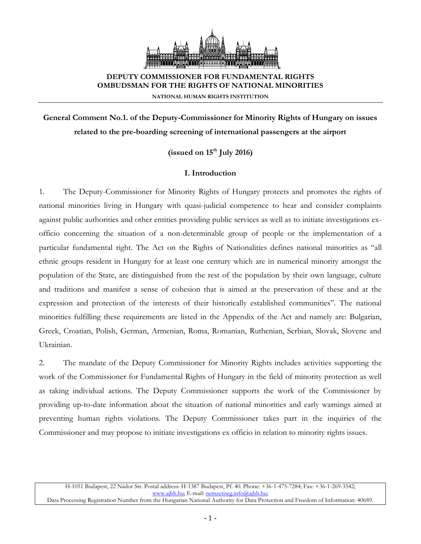

# **DEPUTY COMMISSIONER FOR FUNDAMENTAL RIGHTS OMBUDSMAN FOR THE RIGHTS OF NATIONAL MINORITIES**

**NATIONAL HUMAN RIGHTS INSTITUTION**

**General Comment No.1. of the Deputy-Commissioner for Minority Rights of Hungary on issues related to the pre-boarding screening of international passengers at the airport**

**(issued on 15th July 2016)**

## **I. Introduction**

1. The Deputy-Commissioner for Minority Rights of Hungary protects and promotes the rights of national minorities living in Hungary with quasi-judicial competence to hear and consider complaints against public authorities and other entities providing public services as well as to initiate investigations exofficio concerning the situation of a non-determinable group of people or the implementation of a particular fundamental right. The Act on the Rights of Nationalities defines national minorities as "all ethnic groups resident in Hungary for at least one century which are in numerical minority amongst the population of the State, are distinguished from the rest of the population by their own language, culture and traditions and manifest a sense of cohesion that is aimed at the preservation of these and at the expression and protection of the interests of their historically established communities". The national minorities fulfilling these requirements are listed in the Appendix of the Act and namely are: Bulgarian, Greek, Croatian, Polish, German, Armenian, Roma, Romanian, Ruthenian, Serbian, Slovak, Slovene and Ukrainian.

2. The mandate of the Deputy Commissioner for Minority Rights includes activities supporting the work of the Commissioner for Fundamental Rights of Hungary in the field of minority protection as well as taking individual actions. The Deputy Commissioner supports the work of the Commissioner by providing up-to-date information about the situation of national minorities and early warnings aimed at preventing human rights violations. The Deputy Commissioner takes part in the inquiries of the Commissioner and may propose to initiate investigations ex officio in relation to minority rights issues.

H-1051 Budapest, 22 Nádor Str. Postal address: H-1387 Budapest, Pf. 40. Phone: +36-1-475-7284; Fax: +36-1-269-3542; [www.ajbh.hu;](http://www.ajbh.hu/) E-mail[: nemzetiseg.info@ajbh.hu;](mailto:nemzetiseg.info@ajbh.hu)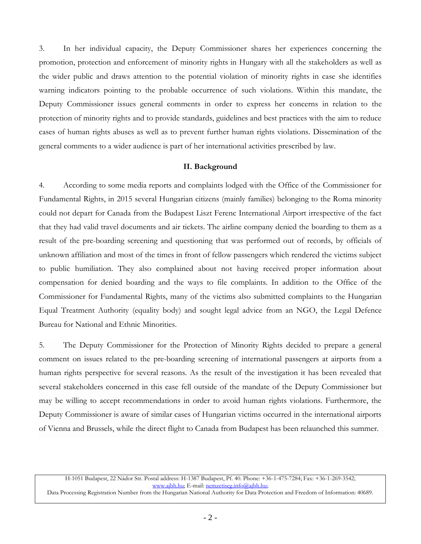3. In her individual capacity, the Deputy Commissioner shares her experiences concerning the promotion, protection and enforcement of minority rights in Hungary with all the stakeholders as well as the wider public and draws attention to the potential violation of minority rights in case she identifies warning indicators pointing to the probable occurrence of such violations. Within this mandate, the Deputy Commissioner issues general comments in order to express her concerns in relation to the protection of minority rights and to provide standards, guidelines and best practices with the aim to reduce cases of human rights abuses as well as to prevent further human rights violations. Dissemination of the general comments to a wider audience is part of her international activities prescribed by law.

#### **II. Background**

4. According to some media reports and complaints lodged with the Office of the Commissioner for Fundamental Rights, in 2015 several Hungarian citizens (mainly families) belonging to the Roma minority could not depart for Canada from the Budapest Liszt Ferenc International Airport irrespective of the fact that they had valid travel documents and air tickets. The airline company denied the boarding to them as a result of the pre-boarding screening and questioning that was performed out of records, by officials of unknown affiliation and most of the times in front of fellow passengers which rendered the victims subject to public humiliation. They also complained about not having received proper information about compensation for denied boarding and the ways to file complaints. In addition to the Office of the Commissioner for Fundamental Rights, many of the victims also submitted complaints to the Hungarian Equal Treatment Authority (equality body) and sought legal advice from an NGO, the Legal Defence Bureau for National and Ethnic Minorities.

5. The Deputy Commissioner for the Protection of Minority Rights decided to prepare a general comment on issues related to the pre-boarding screening of international passengers at airports from a human rights perspective for several reasons. As the result of the investigation it has been revealed that several stakeholders concerned in this case fell outside of the mandate of the Deputy Commissioner but may be willing to accept recommendations in order to avoid human rights violations. Furthermore, the Deputy Commissioner is aware of similar cases of Hungarian victims occurred in the international airports of Vienna and Brussels, while the direct flight to Canada from Budapest has been relaunched this summer.

Data Processing Registration Number from the Hungarian National Authority for Data Protection and Freedom of Information: 40689.

H-1051 Budapest, 22 Nádor Str. Postal address: H-1387 Budapest, Pf. 40. Phone: +36-1-475-7284; Fax: +36-1-269-3542; [www.ajbh.hu;](http://www.ajbh.hu/) E-mail[: nemzetiseg.info@ajbh.hu;](mailto:nemzetiseg.info@ajbh.hu)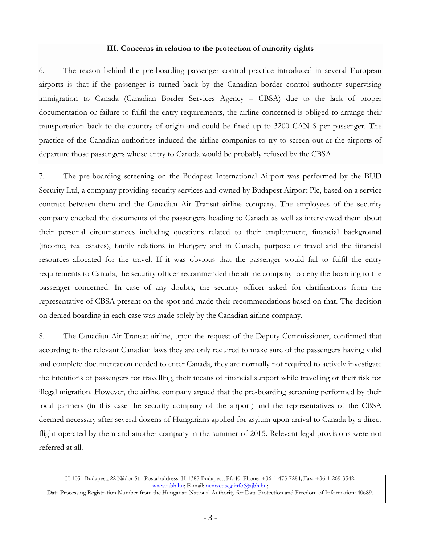#### **III. Concerns in relation to the protection of minority rights**

6. The reason behind the pre-boarding passenger control practice introduced in several European airports is that if the passenger is turned back by the Canadian border control authority supervising immigration to Canada (Canadian Border Services Agency – CBSA) due to the lack of proper documentation or failure to fulfil the entry requirements, the airline concerned is obliged to arrange their transportation back to the country of origin and could be fined up to 3200 CAN \$ per passenger. The practice of the Canadian authorities induced the airline companies to try to screen out at the airports of departure those passengers whose entry to Canada would be probably refused by the CBSA.

7. The pre-boarding screening on the Budapest International Airport was performed by the BUD Security Ltd, a company providing security services and owned by Budapest Airport Plc, based on a service contract between them and the Canadian Air Transat airline company. The employees of the security company checked the documents of the passengers heading to Canada as well as interviewed them about their personal circumstances including questions related to their employment, financial background (income, real estates), family relations in Hungary and in Canada, purpose of travel and the financial resources allocated for the travel. If it was obvious that the passenger would fail to fulfil the entry requirements to Canada, the security officer recommended the airline company to deny the boarding to the passenger concerned. In case of any doubts, the security officer asked for clarifications from the representative of CBSA present on the spot and made their recommendations based on that. The decision on denied boarding in each case was made solely by the Canadian airline company.

8. The Canadian Air Transat airline, upon the request of the Deputy Commissioner, confirmed that according to the relevant Canadian laws they are only required to make sure of the passengers having valid and complete documentation needed to enter Canada, they are normally not required to actively investigate the intentions of passengers for travelling, their means of financial support while travelling or their risk for illegal migration. However, the airline company argued that the pre-boarding screening performed by their local partners (in this case the security company of the airport) and the representatives of the CBSA deemed necessary after several dozens of Hungarians applied for asylum upon arrival to Canada by a direct flight operated by them and another company in the summer of 2015. Relevant legal provisions were not referred at all.

H-1051 Budapest, 22 Nádor Str. Postal address: H-1387 Budapest, Pf. 40. Phone: +36-1-475-7284; Fax: +36-1-269-3542; [www.ajbh.hu;](http://www.ajbh.hu/) E-mail[: nemzetiseg.info@ajbh.hu;](mailto:nemzetiseg.info@ajbh.hu) 

Data Processing Registration Number from the Hungarian National Authority for Data Protection and Freedom of Information: 40689.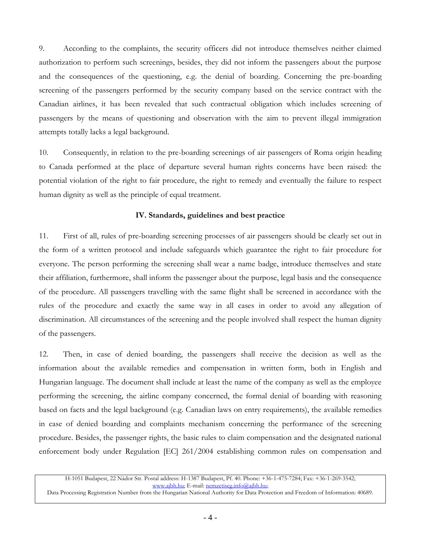9. According to the complaints, the security officers did not introduce themselves neither claimed authorization to perform such screenings, besides, they did not inform the passengers about the purpose and the consequences of the questioning, e.g. the denial of boarding. Concerning the pre-boarding screening of the passengers performed by the security company based on the service contract with the Canadian airlines, it has been revealed that such contractual obligation which includes screening of passengers by the means of questioning and observation with the aim to prevent illegal immigration attempts totally lacks a legal background.

10. Consequently, in relation to the pre-boarding screenings of air passengers of Roma origin heading to Canada performed at the place of departure several human rights concerns have been raised: the potential violation of the right to fair procedure, the right to remedy and eventually the failure to respect human dignity as well as the principle of equal treatment.

### **IV. Standards, guidelines and best practice**

11. First of all, rules of pre-boarding screening processes of air passengers should be clearly set out in the form of a written protocol and include safeguards which guarantee the right to fair procedure for everyone. The person performing the screening shall wear a name badge, introduce themselves and state their affiliation, furthermore, shall inform the passenger about the purpose, legal basis and the consequence of the procedure. All passengers travelling with the same flight shall be screened in accordance with the rules of the procedure and exactly the same way in all cases in order to avoid any allegation of discrimination. All circumstances of the screening and the people involved shall respect the human dignity of the passengers.

12. Then, in case of denied boarding, the passengers shall receive the decision as well as the information about the available remedies and compensation in written form, both in English and Hungarian language. The document shall include at least the name of the company as well as the employee performing the screening, the airline company concerned, the formal denial of boarding with reasoning based on facts and the legal background (e.g. Canadian laws on entry requirements), the available remedies in case of denied boarding and complaints mechanism concerning the performance of the screening procedure. Besides, the passenger rights, the basic rules to claim compensation and the designated national enforcement body under Regulation [EC] 261/2004 establishing common rules on compensation and

H-1051 Budapest, 22 Nádor Str. Postal address: H-1387 Budapest, Pf. 40. Phone: +36-1-475-7284; Fax: +36-1-269-3542; [www.ajbh.hu;](http://www.ajbh.hu/) E-mail[: nemzetiseg.info@ajbh.hu;](mailto:nemzetiseg.info@ajbh.hu) 

Data Processing Registration Number from the Hungarian National Authority for Data Protection and Freedom of Information: 40689.